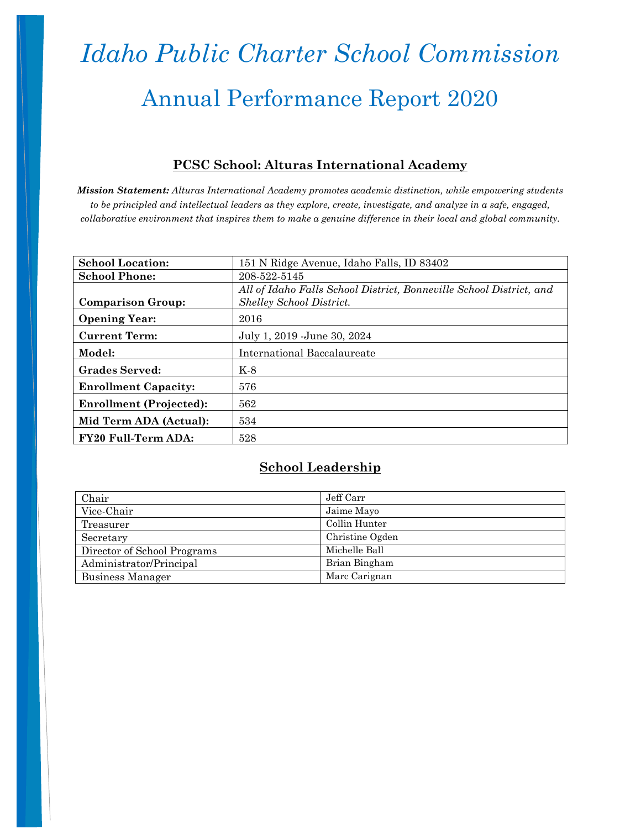# *Idaho Public Charter School Commission* Annual Performance Report 2020

#### **PCSC School: Alturas International Academy**

*Mission Statement: Alturas International Academy promotes academic distinction, while empowering students to be principled and intellectual leaders as they explore, create, investigate, and analyze in a safe, engaged, collaborative environment that inspires them to make a genuine difference in their local and global community.*

| <b>School Location:</b>        | 151 N Ridge Avenue, Idaho Falls, ID 83402                           |
|--------------------------------|---------------------------------------------------------------------|
| <b>School Phone:</b>           | 208-522-5145                                                        |
|                                | All of Idaho Falls School District, Bonneville School District, and |
| <b>Comparison Group:</b>       | <b>Shelley School District.</b>                                     |
| <b>Opening Year:</b>           | 2016                                                                |
| <b>Current Term:</b>           | July 1, 2019 - June 30, 2024                                        |
| Model:                         | International Baccalaureate                                         |
| <b>Grades Served:</b>          | K-8                                                                 |
| <b>Enrollment Capacity:</b>    | 576                                                                 |
| <b>Enrollment (Projected):</b> | 562                                                                 |
| Mid Term ADA (Actual):         | 534                                                                 |
| <b>FY20 Full-Term ADA:</b>     | 528                                                                 |

#### **School Leadership**

| Chair                       | Jeff Carr       |
|-----------------------------|-----------------|
| Vice-Chair                  | Jaime Mayo      |
| Treasurer                   | Collin Hunter   |
| Secretary                   | Christine Ogden |
| Director of School Programs | Michelle Ball   |
| Administrator/Principal     | Brian Bingham   |
| Business Manager            | Marc Carignan   |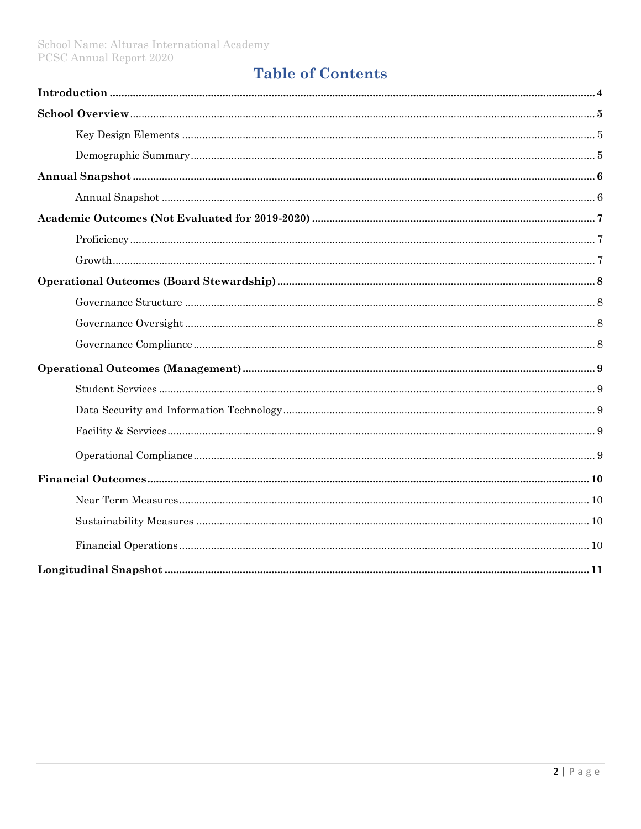#### **Table of Contents**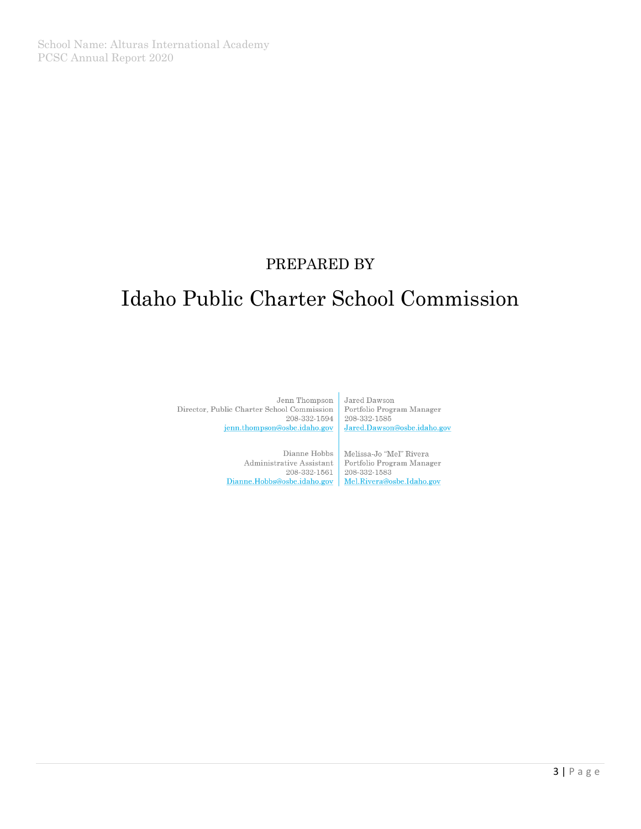#### PREPARED BY

### Idaho Public Charter School Commission

Jenn Thompson Director, Public Charter School Commission 208-332-1594 jenn.thompson@osbe.idaho.gov

> Dianne Hobbs Administrative Assistant  $208\hbox{-}332\hbox{-}1561$ Dianne.Hobbs@osbe.idaho.gov | Mel.Rivera@osbe.Idaho.gov

Jared Dawson Portfolio Program Manager 208-332-1585 Jared.Dawson@osbe.idaho.gov

Melissa-Jo "Mel" Rivera Portfolio Program Manager  $208\hbox{-}332\hbox{-}1583$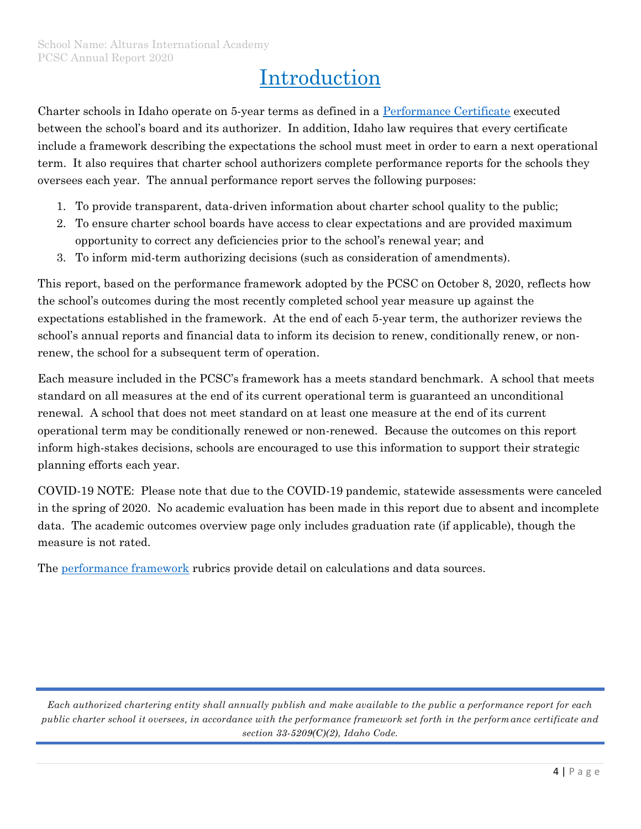### Introduction

Charter schools in Idaho operate on 5-year terms as defined in a [Performance Certificate](https://chartercommission.idaho.gov/pcsc-schools/by-region/) executed between the school's board and its authorizer. In addition, Idaho law requires that every certificate include a framework describing the expectations the school must meet in order to earn a next operational term. It also requires that charter school authorizers complete performance reports for the schools they oversees each year. The annual performance report serves the following purposes:

- 1. To provide transparent, data-driven information about charter school quality to the public;
- 2. To ensure charter school boards have access to clear expectations and are provided maximum opportunity to correct any deficiencies prior to the school's renewal year; and
- 3. To inform mid-term authorizing decisions (such as consideration of amendments).

This report, based on the performance framework adopted by the PCSC on October 8, 2020, reflects how the school's outcomes during the most recently completed school year measure up against the expectations established in the framework. At the end of each 5-year term, the authorizer reviews the school's annual reports and financial data to inform its decision to renew, conditionally renew, or nonrenew, the school for a subsequent term of operation.

Each measure included in the PCSC's framework has a meets standard benchmark. A school that meets standard on all measures at the end of its current operational term is guaranteed an unconditional renewal. A school that does not meet standard on at least one measure at the end of its current operational term may be conditionally renewed or non-renewed. Because the outcomes on this report inform high-stakes decisions, schools are encouraged to use this information to support their strategic planning efforts each year.

COVID-19 NOTE: Please note that due to the COVID-19 pandemic, statewide assessments were canceled in the spring of 2020. No academic evaluation has been made in this report due to absent and incomplete data. The academic outcomes overview page only includes graduation rate (if applicable), though the measure is not rated.

The [performance framework](https://chartercommission.idaho.gov/resources/financial-framework/) rubrics provide detail on calculations and data sources.

*Each authorized chartering entity shall annually publish and make available to the public a performance report for each public charter school it oversees, in accordance with the performance framework set forth in the performance certificate and section 33-5209(C)(2), Idaho Code.*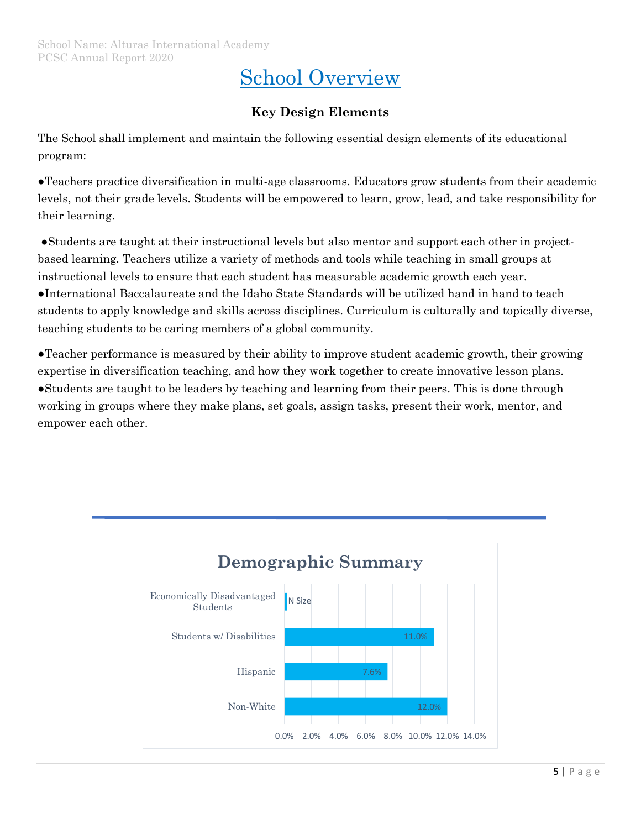### School Overview

#### **Key Design Elements**

The School shall implement and maintain the following essential design elements of its educational program:

●Teachers practice diversification in multi-age classrooms. Educators grow students from their academic levels, not their grade levels. Students will be empowered to learn, grow, lead, and take responsibility for their learning.

●Students are taught at their instructional levels but also mentor and support each other in projectbased learning. Teachers utilize a variety of methods and tools while teaching in small groups at instructional levels to ensure that each student has measurable academic growth each year. ●International Baccalaureate and the Idaho State Standards will be utilized hand in hand to teach students to apply knowledge and skills across disciplines. Curriculum is culturally and topically diverse, teaching students to be caring members of a global community.

●Teacher performance is measured by their ability to improve student academic growth, their growing expertise in diversification teaching, and how they work together to create innovative lesson plans. ●Students are taught to be leaders by teaching and learning from their peers. This is done through working in groups where they make plans, set goals, assign tasks, present their work, mentor, and empower each other.

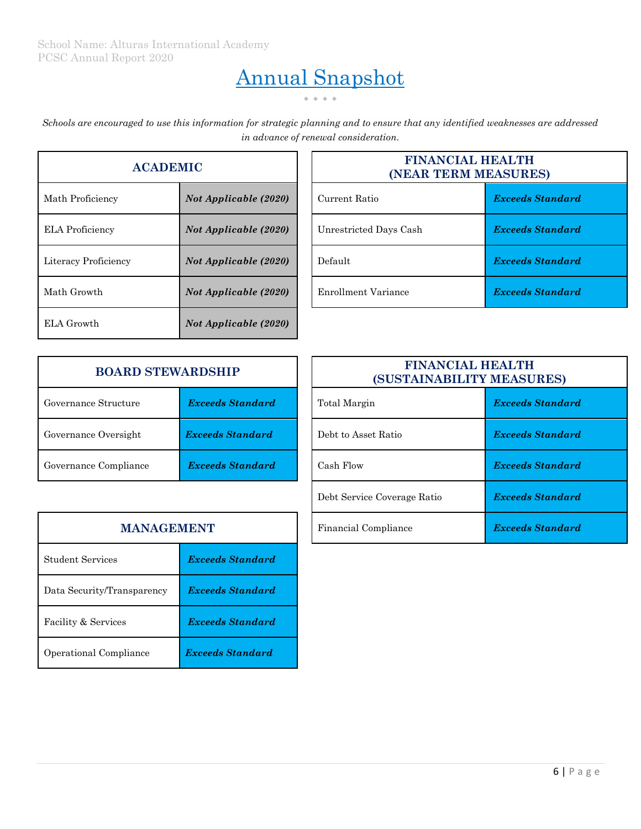# Annual Snapshot

 $\bullet \hspace{0.2cm} \bullet \hspace{0.2cm} \bullet \hspace{0.2cm} \bullet \hspace{0.2cm} \bullet$ 

*Schools are encouraged to use this information for strategic planning and to ensure that any identified weaknesses are addressed in advance of renewal consideration.*

| <b>ACADEMIC</b>        |                              |  |
|------------------------|------------------------------|--|
| Math Proficiency       | <b>Not Applicable (2020)</b> |  |
| <b>ELA Proficiency</b> | Not Applicable (2020)        |  |
| Literacy Proficiency   | Not Applicable (2020)        |  |
| Math Growth            | Not Applicable (2020)        |  |
| ELA Growth             | Not Applicable (2020)        |  |

| <b>ACADEMIC</b>        |                              |  | <b>FINANCIAL HEALTH</b><br>(NEAR TERM MEASURES) |                         |  |
|------------------------|------------------------------|--|-------------------------------------------------|-------------------------|--|
| Math Proficiency       | <b>Not Applicable (2020)</b> |  | Current Ratio                                   | <b>Exceeds Standard</b> |  |
| <b>ELA Proficiency</b> | <b>Not Applicable (2020)</b> |  | Unrestricted Days Cash                          | <b>Exceeds Standard</b> |  |
| Literacy Proficiency   | <b>Not Applicable (2020)</b> |  | Default                                         | <b>Exceeds Standard</b> |  |
| Math Growth            | <b>Not Applicable (2020)</b> |  | Enrollment Variance                             | <b>Exceeds Standard</b> |  |

| <b>BOARD STEWARDSHIP</b> |                         |  | <b>FINANCIAL HEALTH</b><br>(SUSTAINABILITY MEASU |                  |  |
|--------------------------|-------------------------|--|--------------------------------------------------|------------------|--|
| Governance Structure     | <b>Exceeds Standard</b> |  | Total Margin                                     | <b>Exceeds</b> 8 |  |
| Governance Oversight     | <b>Exceeds Standard</b> |  | Debt to Asset Ratio                              | <b>Exceeds</b> 8 |  |
| Governance Compliance    | <b>Exceeds Standard</b> |  | Cash Flow                                        | <b>Exceeds</b> 8 |  |

| <b>BOARD STEWARDSHIP</b> |                         |              | <b>FINANCIAL HEALTH</b><br>(SUSTAINABILITY MEASURES) |                         |  |
|--------------------------|-------------------------|--------------|------------------------------------------------------|-------------------------|--|
| Governance Structure     | <b>Exceeds Standard</b> | Total Margin |                                                      | <b>Exceeds Standard</b> |  |
| Governance Oversight     | <b>Exceeds Standard</b> |              | Debt to Asset Ratio                                  | <b>Exceeds Standard</b> |  |
| Governance Compliance    | <b>Exceeds Standard</b> |              | Cash Flow                                            | <b>Exceeds Standard</b> |  |
|                          |                         |              | Debt Service Coverage Ratio                          | <b>Exceeds Standard</b> |  |
| <b>MANAGEMENT</b>        |                         |              | Financial Compliance                                 | <b>Exceeds Standard</b> |  |

| <b>MANAGEMENT</b>          |                         |  |
|----------------------------|-------------------------|--|
| <b>Student Services</b>    | <b>Exceeds Standard</b> |  |
| Data Security/Transparency | <b>Exceeds Standard</b> |  |
| Facility & Services        | <b>Exceeds Standard</b> |  |
| Operational Compliance     | <b>Exceeds Standard</b> |  |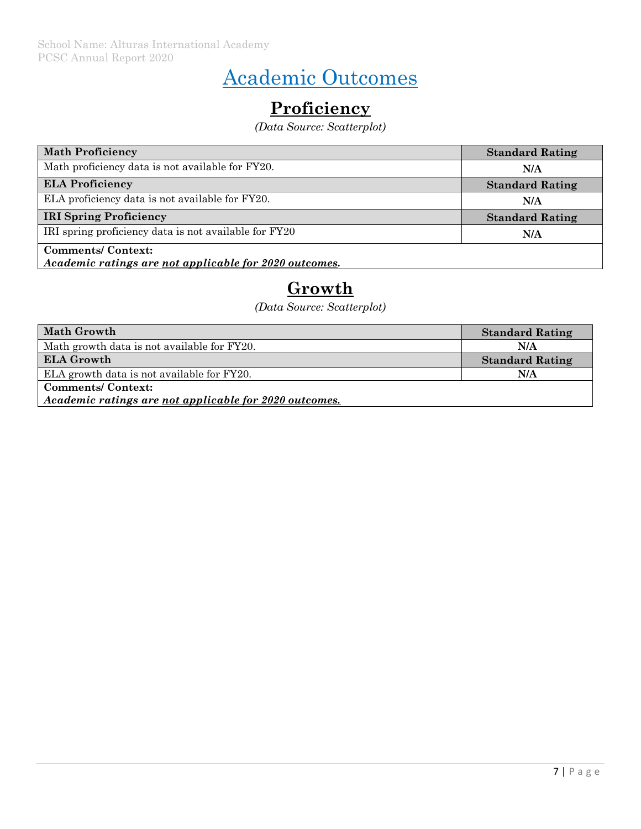## Academic Outcomes

### **Proficiency**

*(Data Source: Scatterplot)*

| <b>Math Proficiency</b>                                                            | <b>Standard Rating</b> |
|------------------------------------------------------------------------------------|------------------------|
| Math proficiency data is not available for FY20.                                   | N/A                    |
| <b>ELA Proficiency</b>                                                             | <b>Standard Rating</b> |
| ELA proficiency data is not available for FY20.                                    | N/A                    |
| <b>IRI Spring Proficiency</b>                                                      | <b>Standard Rating</b> |
| IRI spring proficiency data is not available for FY20                              | N/A                    |
| <b>Comments/Context:</b><br>Academic ratings are not applicable for 2020 outcomes. |                        |

#### **Growth**

*(Data Source: Scatterplot)*

| <b>Math Growth</b>                                     | <b>Standard Rating</b> |  |  |
|--------------------------------------------------------|------------------------|--|--|
| Math growth data is not available for FY20.            | N/A                    |  |  |
| <b>ELA Growth</b>                                      | <b>Standard Rating</b> |  |  |
| ELA growth data is not available for FY20.             | N/A                    |  |  |
| <b>Comments/Context:</b>                               |                        |  |  |
| Academic ratings are not applicable for 2020 outcomes. |                        |  |  |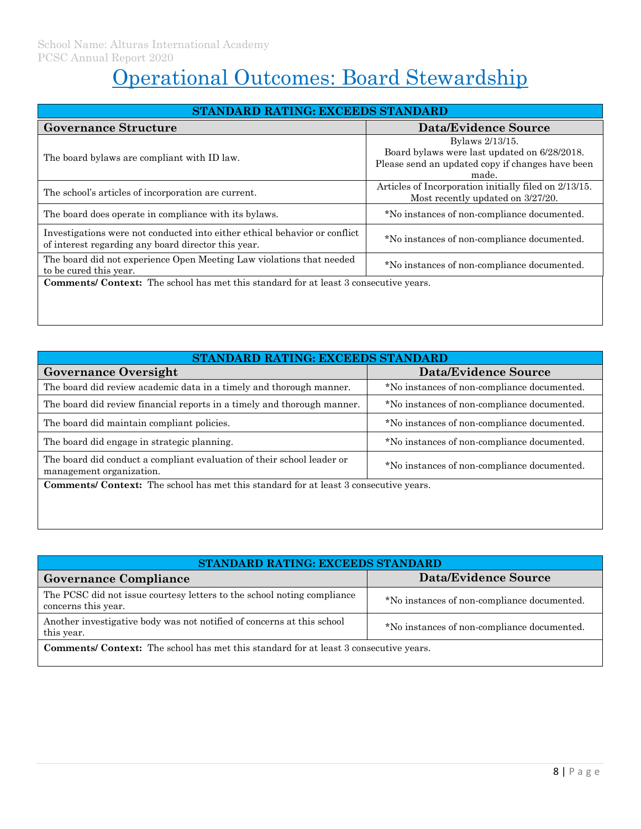# Operational Outcomes: Board Stewardship

| STANDARD RATING: EXCEEDS STANDARD                                                                                                 |                                                                                                                              |  |  |  |
|-----------------------------------------------------------------------------------------------------------------------------------|------------------------------------------------------------------------------------------------------------------------------|--|--|--|
| <b>Governance Structure</b>                                                                                                       | <b>Data/Evidence Source</b>                                                                                                  |  |  |  |
| The board by laws are compliant with ID law.                                                                                      | Bylaws 2/13/15.<br>Board bylaws were last updated on 6/28/2018.<br>Please send an updated copy if changes have been<br>made. |  |  |  |
| The school's articles of incorporation are current.                                                                               | Articles of Incorporation initially filed on 2/13/15.<br>Most recently updated on 3/27/20.                                   |  |  |  |
| The board does operate in compliance with its bylaws.                                                                             | *No instances of non-compliance documented.                                                                                  |  |  |  |
| Investigations were not conducted into either ethical behavior or conflict<br>of interest regarding any board director this year. | *No instances of non-compliance documented.                                                                                  |  |  |  |
| The board did not experience Open Meeting Law violations that needed<br>to be cured this year.                                    | *No instances of non-compliance documented.                                                                                  |  |  |  |
| <b>Comments/ Context:</b> The school has met this standard for at least 3 consecutive years.                                      |                                                                                                                              |  |  |  |

| STANDARD RATING: EXCEEDS STANDARD                                                                                                                 |                                             |  |
|---------------------------------------------------------------------------------------------------------------------------------------------------|---------------------------------------------|--|
| <b>Governance Oversight</b>                                                                                                                       | <b>Data/Evidence Source</b>                 |  |
| The board did review academic data in a timely and thorough manner.                                                                               | *No instances of non-compliance documented. |  |
| The board did review financial reports in a timely and thorough manner.                                                                           | *No instances of non-compliance documented. |  |
| The board did maintain compliant policies.                                                                                                        | *No instances of non-compliance documented. |  |
| The board did engage in strategic planning.                                                                                                       | *No instances of non-compliance documented. |  |
| The board did conduct a compliant evaluation of their school leader or<br>*No instances of non-compliance documented.<br>management organization. |                                             |  |
| <b>Comments/ Context:</b> The school has met this standard for at least 3 consecutive years.                                                      |                                             |  |

| STANDARD RATING: EXCEEDS STANDARD                                                                                                   |                                             |  |
|-------------------------------------------------------------------------------------------------------------------------------------|---------------------------------------------|--|
| <b>Governance Compliance</b>                                                                                                        | Data/Evidence Source                        |  |
| The PCSC did not issue courtesy letters to the school noting compliance<br>concerns this year.                                      | *No instances of non-compliance documented. |  |
| Another investigative body was not notified of concerns at this school<br>*No instances of non-compliance documented.<br>this year. |                                             |  |
| <b>Comments/ Context:</b> The school has met this standard for at least 3 consecutive years.                                        |                                             |  |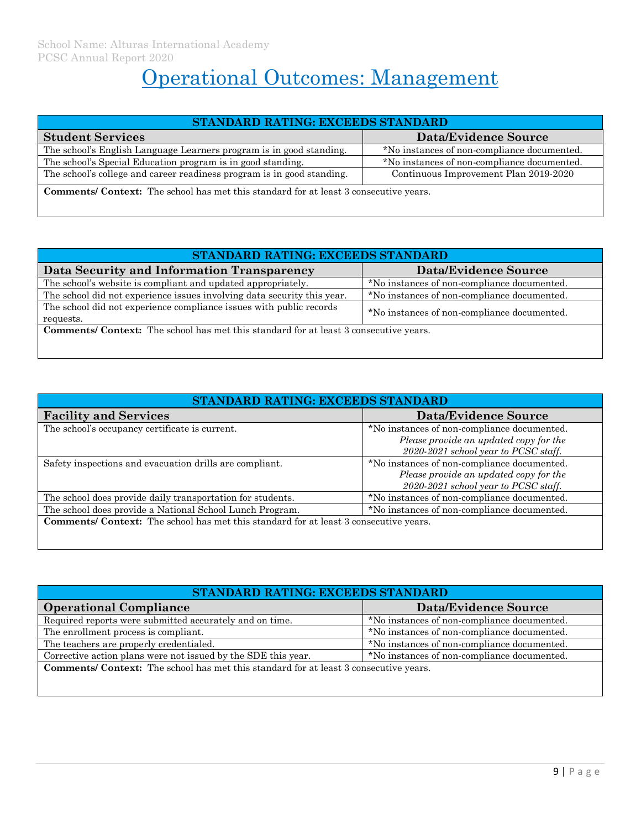# Operational Outcomes: Management

| <b>STANDARD RATING: EXCEEDS STANDARD</b>                                                                        |                                             |  |
|-----------------------------------------------------------------------------------------------------------------|---------------------------------------------|--|
| <b>Student Services</b>                                                                                         | Data/Evidence Source                        |  |
| The school's English Language Learners program is in good standing.                                             | *No instances of non-compliance documented. |  |
| The school's Special Education program is in good standing.                                                     | *No instances of non-compliance documented. |  |
| The school's college and career readiness program is in good standing.<br>Continuous Improvement Plan 2019-2020 |                                             |  |
| <b>Comments/ Context:</b> The school has met this standard for at least 3 consecutive years.                    |                                             |  |

| STANDARD RATING: EXCEEDS STANDARD                                                                                               |                                             |  |
|---------------------------------------------------------------------------------------------------------------------------------|---------------------------------------------|--|
| Data Security and Information Transparency                                                                                      | <b>Data/Evidence Source</b>                 |  |
| The school's website is compliant and updated appropriately.                                                                    | *No instances of non-compliance documented. |  |
| The school did not experience issues involving data security this year.                                                         | *No instances of non-compliance documented. |  |
| The school did not experience compliance issues with public records<br>*No instances of non-compliance documented.<br>requests. |                                             |  |
| <b>Comments/ Context:</b> The school has met this standard for at least 3 consecutive years.                                    |                                             |  |

| STANDARD RATING: EXCEEDS STANDARD                                                                       |                                                                                                                               |  |
|---------------------------------------------------------------------------------------------------------|-------------------------------------------------------------------------------------------------------------------------------|--|
| <b>Facility and Services</b>                                                                            | <b>Data/Evidence Source</b>                                                                                                   |  |
| The school's occupancy certificate is current.                                                          | *No instances of non-compliance documented.<br>Please provide an updated copy for the<br>2020-2021 school year to PCSC staff. |  |
| Safety inspections and evacuation drills are compliant.                                                 | *No instances of non-compliance documented.<br>Please provide an updated copy for the<br>2020-2021 school year to PCSC staff. |  |
| The school does provide daily transportation for students.                                              | *No instances of non-compliance documented.                                                                                   |  |
| The school does provide a National School Lunch Program.<br>*No instances of non-compliance documented. |                                                                                                                               |  |
| <b>Comments/ Context:</b> The school has met this standard for at least 3 consecutive years.            |                                                                                                                               |  |

| STANDARD RATING: EXCEEDS STANDARD                                                                            |                                             |  |
|--------------------------------------------------------------------------------------------------------------|---------------------------------------------|--|
| <b>Operational Compliance</b>                                                                                | <b>Data/Evidence Source</b>                 |  |
| Required reports were submitted accurately and on time.                                                      | *No instances of non-compliance documented. |  |
| The enrollment process is compliant.                                                                         | *No instances of non-compliance documented. |  |
| The teachers are properly credentialed.                                                                      | *No instances of non-compliance documented. |  |
| Corrective action plans were not issued by the SDE this year.<br>*No instances of non-compliance documented. |                                             |  |
| Comments/ Context: The school has met this standard for at least 3 consecutive years.                        |                                             |  |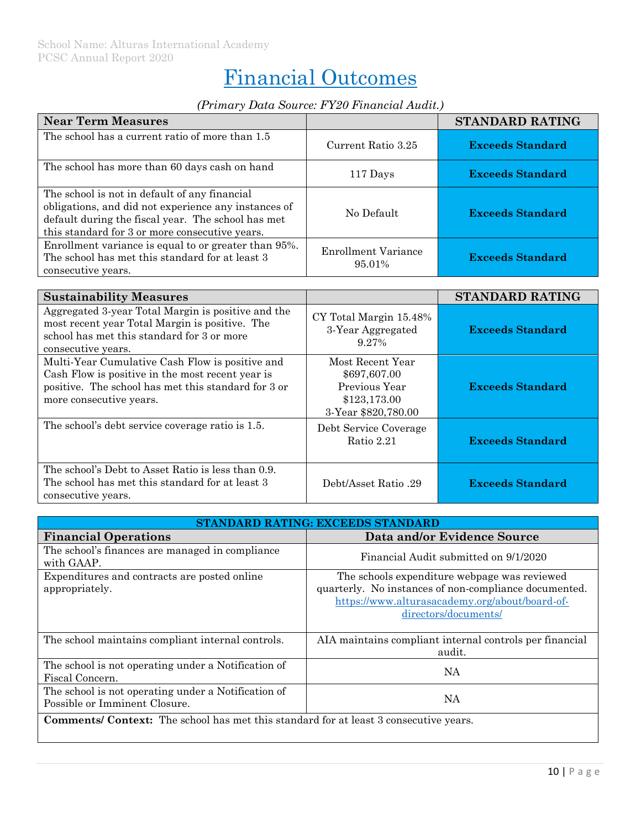# Financial Outcomes

#### *(Primary Data Source: FY20 Financial Audit.)*

| <b>Near Term Measures</b>                                                                                                                                                                                     |                                      | STANDARD RATING         |
|---------------------------------------------------------------------------------------------------------------------------------------------------------------------------------------------------------------|--------------------------------------|-------------------------|
| The school has a current ratio of more than 1.5                                                                                                                                                               | Current Ratio 3.25                   | <b>Exceeds Standard</b> |
| The school has more than 60 days cash on hand                                                                                                                                                                 | 117 Days                             | <b>Exceeds Standard</b> |
| The school is not in default of any financial<br>obligations, and did not experience any instances of<br>default during the fiscal year. The school has met<br>this standard for 3 or more consecutive years. | No Default                           | <b>Exceeds Standard</b> |
| Enrollment variance is equal to or greater than 95%.<br>The school has met this standard for at least 3<br>consecutive years.                                                                                 | <b>Enrollment Variance</b><br>95.01% | <b>Exceeds Standard</b> |

| <b>Sustainability Measures</b>                                                                                                                                                        |                                                                                          | <b>STANDARD RATING</b>  |
|---------------------------------------------------------------------------------------------------------------------------------------------------------------------------------------|------------------------------------------------------------------------------------------|-------------------------|
| Aggregated 3-year Total Margin is positive and the<br>most recent year Total Margin is positive. The<br>school has met this standard for 3 or more<br>consecutive years.              | CY Total Margin 15.48%<br>3-Year Aggregated<br>9.27%                                     | <b>Exceeds Standard</b> |
| Multi-Year Cumulative Cash Flow is positive and<br>Cash Flow is positive in the most recent year is<br>positive. The school has met this standard for 3 or<br>more consecutive years. | Most Recent Year<br>\$697,607.00<br>Previous Year<br>\$123,173.00<br>3-Year \$820,780.00 | <b>Exceeds Standard</b> |
| The school's debt service coverage ratio is 1.5.                                                                                                                                      | Debt Service Coverage<br>Ratio 2.21                                                      | <b>Exceeds Standard</b> |
| The school's Debt to Asset Ratio is less than 0.9.<br>The school has met this standard for at least 3<br>consecutive years.                                                           | Debt/Asset Ratio .29                                                                     | <b>Exceeds Standard</b> |

| STANDARD RATING: EXCEEDS STANDARD                                                            |                                                                                                                                                                                 |  |
|----------------------------------------------------------------------------------------------|---------------------------------------------------------------------------------------------------------------------------------------------------------------------------------|--|
| <b>Financial Operations</b>                                                                  | Data and/or Evidence Source                                                                                                                                                     |  |
| The school's finances are managed in compliance<br>with GAAP.                                | Financial Audit submitted on 9/1/2020                                                                                                                                           |  |
| Expenditures and contracts are posted online<br>appropriately.                               | The schools expenditure webpage was reviewed<br>quarterly. No instances of non-compliance documented.<br>https://www.alturasacademy.org/about/board-of-<br>directors/documents/ |  |
| The school maintains compliant internal controls.                                            | AIA maintains compliant internal controls per financial<br>audit.                                                                                                               |  |
| The school is not operating under a Notification of<br>Fiscal Concern.                       | NA                                                                                                                                                                              |  |
| The school is not operating under a Notification of<br>Possible or Imminent Closure.         | NΑ                                                                                                                                                                              |  |
| <b>Comments/ Context:</b> The school has met this standard for at least 3 consecutive years. |                                                                                                                                                                                 |  |